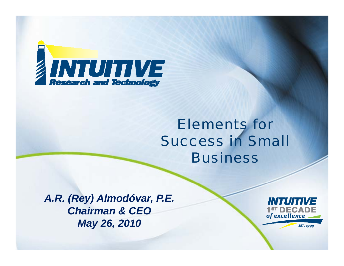

## *Elements forSuccess in Small Business*

*A.R. (Rey) Almodóvar, P.E. Chairman & CEOMay 26, 2010*



**EST. 1999**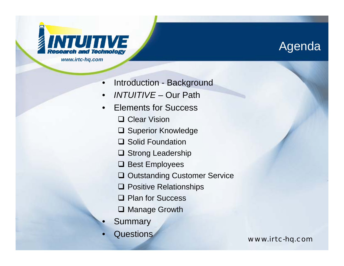

#### Agenda

- •Introduction - Background
- •*INTUITIVE –* Our Path
- • Elements for Success
	- **□ Clear Vision**
	- **□ Superior Knowledge**
	- **□ Solid Foundation**
	- **□ Strong Leadership**
	- **□ Best Employees**
	- **□ Outstanding Customer Service**
	- **□ Positive Relationships**
	- **□ Plan for Success**
	- **□ Manage Growth**
- •Summary
- •

Questions *www.irtc-hq.com*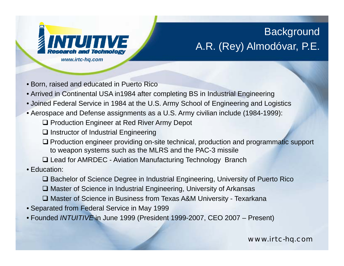

#### **Background** A.R. (Rey) Almodóvar, P.E.

- Born, raised and educated in Puerto Rico
- Arrived in Continental USA in1984 after completing BS in Industrial Engineering
- Joined Federal Service in 1984 at the U.S. Army School of Engineering and Logistics
- $\bullet$  Aerospace and Defense assignments as a U.S. Army civilian include (1984-1999):
	- **□ Production Engineer at Red River Army Depot**
	- $\square$  Instructor of Industrial Engineering
	- $\Box$  Production engineer providing on-site technical, production and programmatic support to weapon systems such as the MLRS and the PAC-3 missile
	- □ Lead for AMRDEC Aviation Manufacturing Technology Branch
- Education:
	- $\square$  Bachelor of Science Degree in Industrial Engineering, University of Puerto Rico
	- □ Master of Science in Industrial Engineering, University of Arkansas
	- Master of Science in Business from Texas A&M University Texarkana
- Separated from Federal Service in May 1999
- Founded *INTUITIVE* in June 1999 (President 1999-2007, CEO 2007 Present)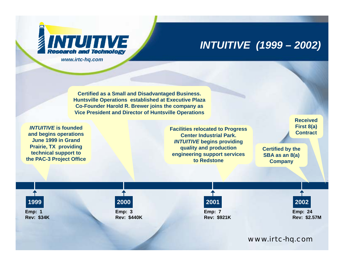

#### *INTUITIVE (1999 – 2002)*

**Certified as a Small and Disadvantaged Business. Huntsville Operations established at Executive Plaza Co-Founder Harold R. Brewer joins the company as Vice President and Director of Huntsville Operations**

*INTUITIVE* **is founded and begins operations June 1999 in Grand Prairie, TX providing technical support to the PAC-3 Project Office** **Facilities relocated to Progress Center Industrial Park.** *INTUITIVE* **begins providing quality and production Certified by the engineering support services to Redstone**

**ReceivedFirst 8(a) Contract**

**Certified by the SBA as an 8(a) Company**

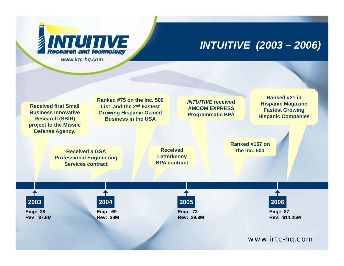

#### *INTUITIVE (2003 – 2006)*

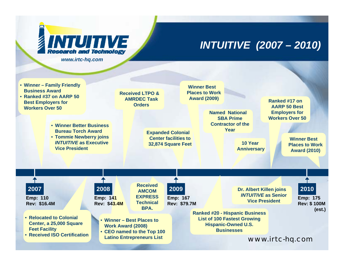

#### *INTUITIVE (2007 – 2010)*

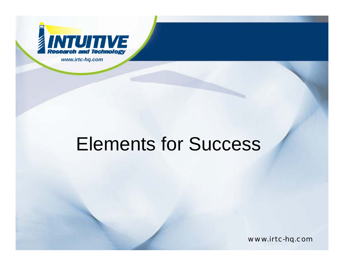

# Elements for Success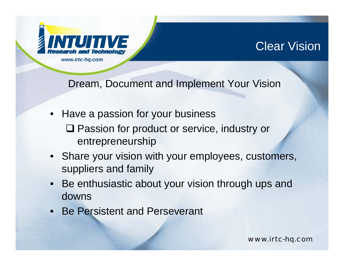

#### Clear Vision

Dream, Document and Implement Your Vision

- Have <sup>a</sup> passion for your business ■ Passion for product or service, industry or entrepreneurship
- Share your vision with your employees, customers, suppliers and family
- $\bullet~$  Be enthusiastic about your vision through ups and downs
- Be Persistent and Perseverant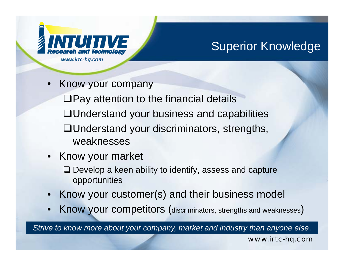

### Superior Knowledge

•

 $\Box$  Pay attention to the financial details Understand your business and capabilities Understand your discriminators, strengths,

- weaknesses
- Know your market
	- $\Box$  Develop a keen ability to identify, assess and capture opportunities
- $\bullet$ Know your customer(s) and their business model
- •Know your competitors (discriminators, strengths and weaknesses)

*Strive to know more about your company, market and industry than anyone else*.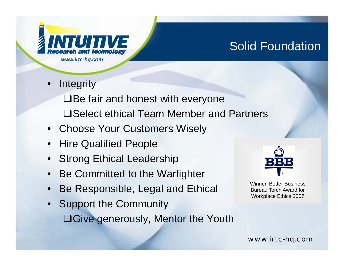

### Solid Foundation

•**Integrity** 

> $\Box$  Be fair and honest with everyone **□Select ethical Team Member and Partners**

- Choose Your Customers Wisely
- Hire Qualified People
- $\bullet$ Strong Ethical Leadership
- •Be Committed to the Warfighter
- •Be Responsible, Legal and Ethical
- Support the Community  $\Box$ Give generously, Mentor the Youth



Winner, Better Business Bureau Torch Award for Workplace Ethics 2007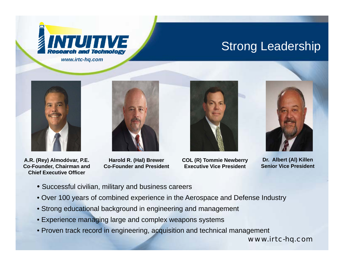

#### Strong Leadership



**A.R. (Rey) Almodóvar, P.E. Co-Founder, Chairman and Chief Executive Officer**

**Harold R. (Hal) Brewer Co-Founder and President**



**COL (R) Tommie Newberry Executive Vice President**



**Dr. Albert (Al) Killen Senior Vice President**

- Successful civilian, military and business careers
- Over 100 years of combined experience in the Aerospace and Defense Industry
- Strong educational background in engineering and management
- Experience managing large and complex weapons systems
- Proven track record in engineering, acquisition and technical management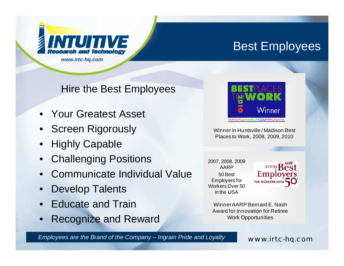

#### Best Employees

Hire the Best Employees

- Your Greatest Asset
- Screen Rigorously
- •Highly Capable
- •Challenging Positions
- •Communicate Individual Value
- •Develop Talents
- •Educate and Train
- Recognize and Reward Work Opportunities



Winner in Huntsville / Madison Best Places to Work, 2008, 2009, 2010

2007, 2008, 2009 AARP 50 Best Employers for Workers Over 50 in the USA



Winner AARP Bernard E. Nash Award for Innovation for Retiree **Work Opportunities** 

*Employees are the Brand of the Company – Ingrain Pride and Loyalty*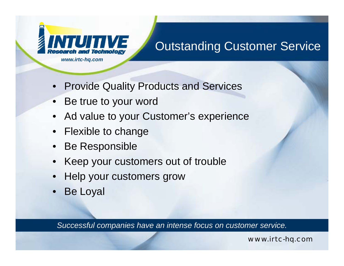

### Outstanding Customer Service

- Provide Quality Products and Services
- Be true to your word
- $\bullet$ Ad value to your Customer's experience
- •Flexible to change
- •Be Responsible
- •Keep your customers out of trouble
- Help your customers grow
- •Be Loyal

*Successful companies have an intense focus on customer service.*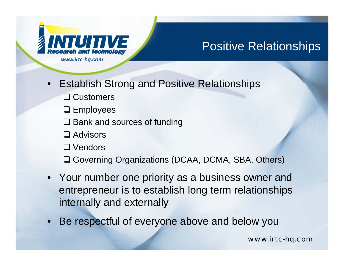

### Positive Relationships

- •Altestation and Technology<br>
www.irtc-hq.com<br>
• Establish Strong and Positive Relationships
	- **□ Customers**
	- $\square$  Employees
	- **□** Bank and sources of funding
	- **□** Advisors
	- **□** Vendors
	- **□ Governing Organizations (DCAA, DCMA, SBA, Others)**
- Your number one priority as a business owner and entrepreneur is to establish long term relationships internally and externally
- •Be respectful of everyone above and below you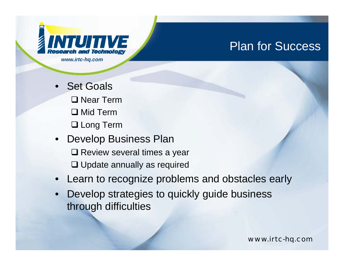

#### Plan for Success

- Set Goals •**□ Near Term □ Mid Term** Long Term
- Develop Business Plan  $\square$  Review several times a year **□ Update annually as required**
- •Learn to recognize problems and obstacles early
- • Develop strategies to quickly guide business through difficulties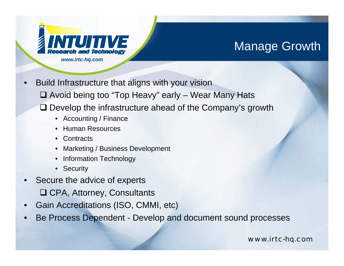

#### Manage Growth

- •Fresearch and Fechnology<br>
www.irtc-hq.com<br>
• Build Infrastructure that aligns with your vision Avoid being too "Top Heavy" early – Wear Many Hats □ Develop the infrastructure ahead of the Company's growth
	- Accounting / Finance
	- Human Resources
	- Contracts
	- $\bullet$  Marketing / Business Development
	- Information Technology
	- Security
- $\bullet$  Secure the advice of experts **□ CPA, Attorney, Consultants**
- •Gain Accreditations (ISO, CMMI, etc)
- •Be Process Dependent - Develop and document sound processes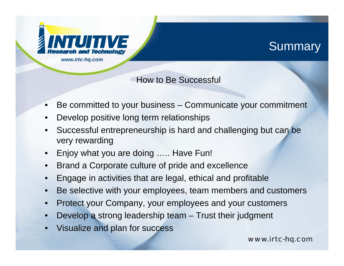

#### **Summary**

#### How to Be Successful

- •Be committed to your business – Communicate your commitment
- •Develop positive long term relationships
- • Successful entrepreneurship is hard and challenging but can be very rewarding
- •Enjoy what you are doing ….. Have Fun!
- •Brand a Corporate culture of pride and excellence
- •Engage in activities that are legal, ethical and profitable
- •Be selective with your employees, team members and customers
- •Protect your Company, your employees and your customers
- •Develop <sup>a</sup> strong leadership team – Trust their judgment
- •Visualize and plan for success